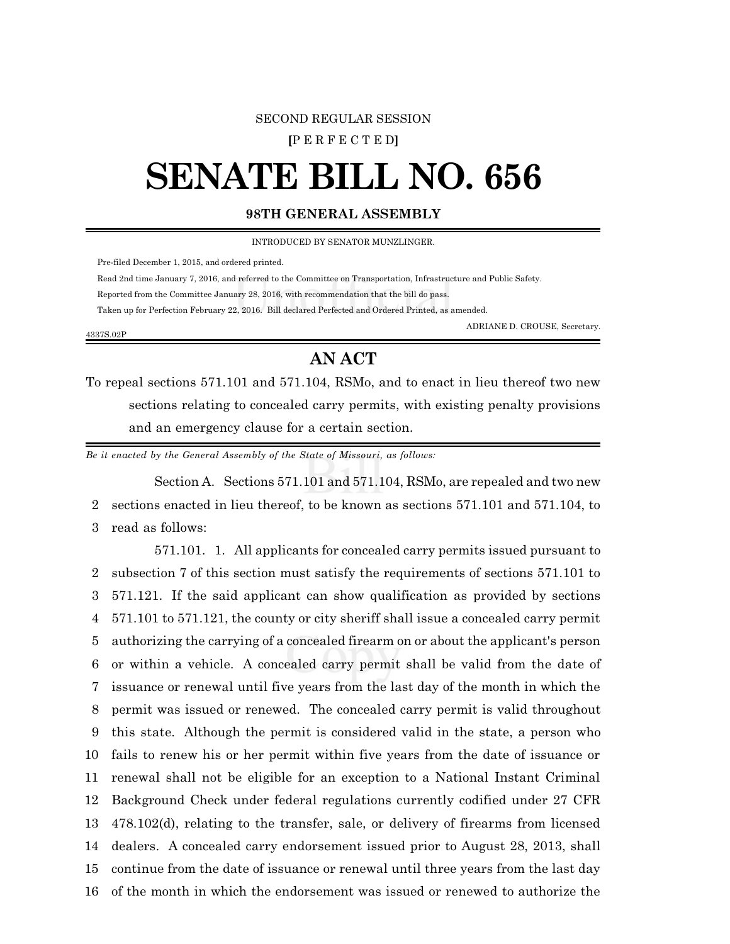# SECOND REGULAR SESSION

**[**P E R F E C T E D**]**

# **SENATE BILL NO. 656**

## **98TH GENERAL ASSEMBLY**

INTRODUCED BY SENATOR MUNZLINGER.

Pre-filed December 1, 2015, and ordered printed.

4337S.02P

Read 2nd time January 7, 2016, and referred to the Committee on Transportation, Infrastructure and Public Safety.

Reported from the Committee January 28, 2016, with recommendation that the bill do pass.

Taken up for Perfection February 22, 2016. Bill declared Perfected and Ordered Printed, as amended.

ADRIANE D. CROUSE, Secretary.

# **AN ACT**

To repeal sections 571.101 and 571.104, RSMo, and to enact in lieu thereof two new sections relating to concealed carry permits, with existing penalty provisions and an emergency clause for a certain section.

*Be it enacted by the General Assembly of the State of Missouri, as follows:*

Section A. Sections 571.101 and 571.104, RSMo, are repealed and two new 2 sections enacted in lieu thereof, to be known as sections 571.101 and 571.104, to 3 read as follows:

571.101. 1. All applicants for concealed carry permits issued pursuant to subsection 7 of this section must satisfy the requirements of sections 571.101 to 571.121. If the said applicant can show qualification as provided by sections 571.101 to 571.121, the county or city sheriff shall issue a concealed carry permit authorizing the carrying of a concealed firearm on or about the applicant's person or within a vehicle. A concealed carry permit shall be valid from the date of issuance or renewal until five years from the last day of the month in which the permit was issued or renewed. The concealed carry permit is valid throughout this state. Although the permit is considered valid in the state, a person who fails to renew his or her permit within five years from the date of issuance or renewal shall not be eligible for an exception to a National Instant Criminal Background Check under federal regulations currently codified under 27 CFR 478.102(d), relating to the transfer, sale, or delivery of firearms from licensed dealers. A concealed carry endorsement issued prior to August 28, 2013, shall continue from the date of issuance or renewal until three years from the last day of the month in which the endorsement was issued or renewed to authorize the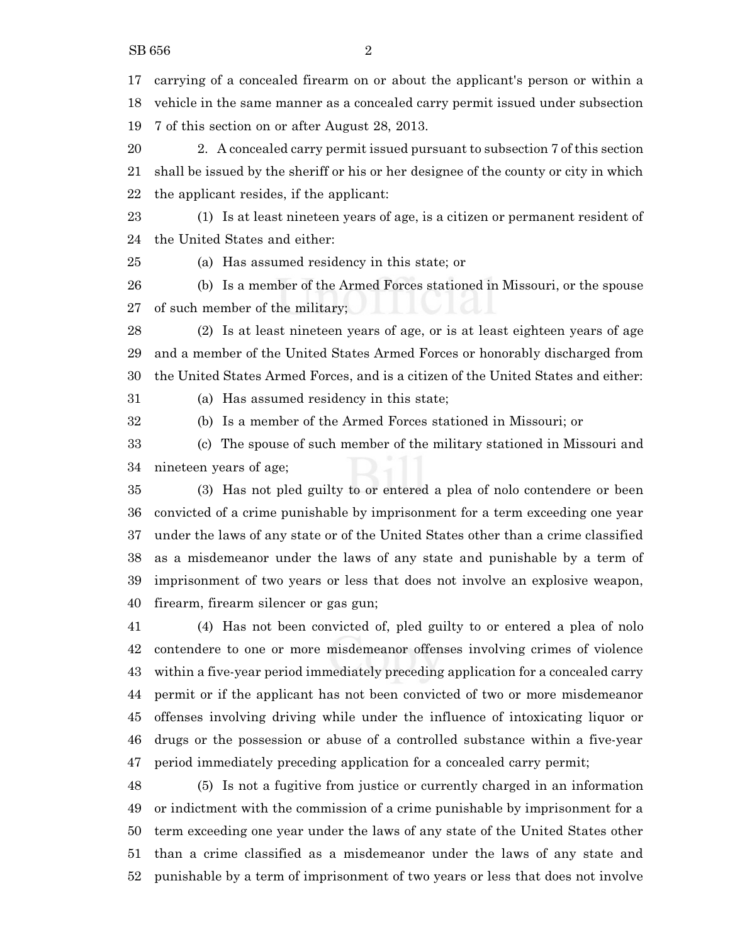carrying of a concealed firearm on or about the applicant's person or within a vehicle in the same manner as a concealed carry permit issued under subsection 7 of this section on or after August 28, 2013.

 2. A concealed carry permit issued pursuant to subsection 7 of this section shall be issued by the sheriff or his or her designee of the county or city in which the applicant resides, if the applicant:

 (1) Is at least nineteen years of age, is a citizen or permanent resident of the United States and either:

(a) Has assumed residency in this state; or

 (b) Is a member of the Armed Forces stationed in Missouri, or the spouse of such member of the military;

 (2) Is at least nineteen years of age, or is at least eighteen years of age and a member of the United States Armed Forces or honorably discharged from the United States Armed Forces, and is a citizen of the United States and either:

(a) Has assumed residency in this state;

(b) Is a member of the Armed Forces stationed in Missouri; or

 (c) The spouse of such member of the military stationed in Missouri and nineteen years of age;

 (3) Has not pled guilty to or entered a plea of nolo contendere or been convicted of a crime punishable by imprisonment for a term exceeding one year under the laws of any state or of the United States other than a crime classified as a misdemeanor under the laws of any state and punishable by a term of imprisonment of two years or less that does not involve an explosive weapon, firearm, firearm silencer or gas gun;

 (4) Has not been convicted of, pled guilty to or entered a plea of nolo contendere to one or more misdemeanor offenses involving crimes of violence within a five-year period immediately preceding application for a concealed carry permit or if the applicant has not been convicted of two or more misdemeanor offenses involving driving while under the influence of intoxicating liquor or drugs or the possession or abuse of a controlled substance within a five-year period immediately preceding application for a concealed carry permit;

 (5) Is not a fugitive from justice or currently charged in an information or indictment with the commission of a crime punishable by imprisonment for a term exceeding one year under the laws of any state of the United States other than a crime classified as a misdemeanor under the laws of any state and punishable by a term of imprisonment of two years or less that does not involve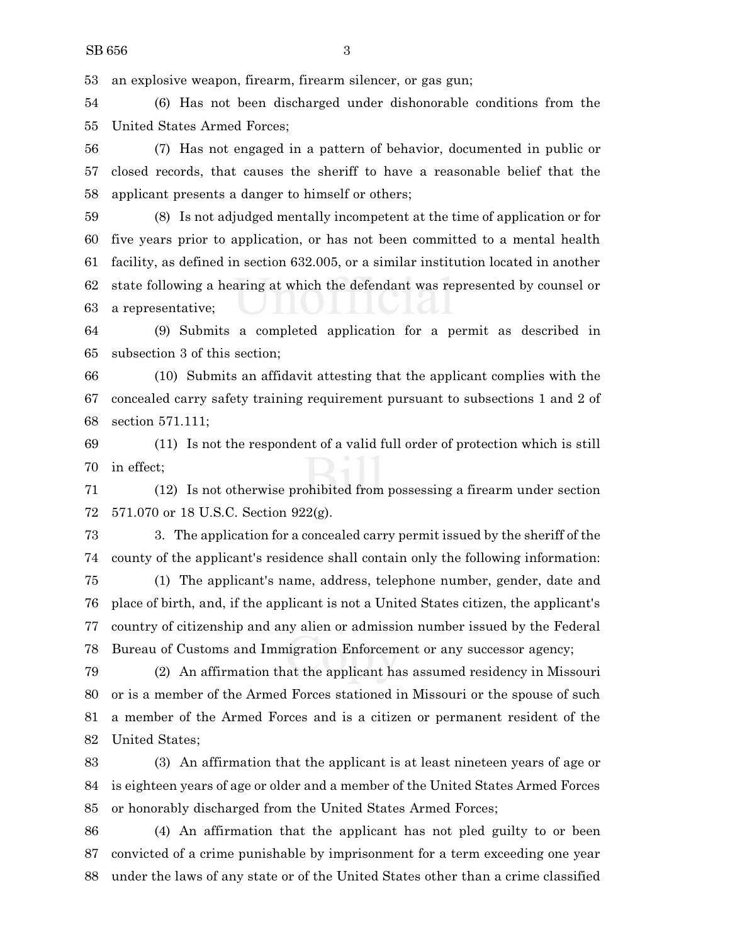an explosive weapon, firearm, firearm silencer, or gas gun;

 (6) Has not been discharged under dishonorable conditions from the United States Armed Forces;

 (7) Has not engaged in a pattern of behavior, documented in public or closed records, that causes the sheriff to have a reasonable belief that the applicant presents a danger to himself or others;

 (8) Is not adjudged mentally incompetent at the time of application or for five years prior to application, or has not been committed to a mental health facility, as defined in section 632.005, or a similar institution located in another state following a hearing at which the defendant was represented by counsel or a representative;

 (9) Submits a completed application for a permit as described in subsection 3 of this section;

 (10) Submits an affidavit attesting that the applicant complies with the concealed carry safety training requirement pursuant to subsections 1 and 2 of section 571.111;

 (11) Is not the respondent of a valid full order of protection which is still in effect;

 (12) Is not otherwise prohibited from possessing a firearm under section 571.070 or 18 U.S.C. Section 922(g).

 3. The application for a concealed carry permit issued by the sheriff of the county of the applicant's residence shall contain only the following information:

 (1) The applicant's name, address, telephone number, gender, date and place of birth, and, if the applicant is not a United States citizen, the applicant's country of citizenship and any alien or admission number issued by the Federal Bureau of Customs and Immigration Enforcement or any successor agency;

 (2) An affirmation that the applicant has assumed residency in Missouri or is a member of the Armed Forces stationed in Missouri or the spouse of such a member of the Armed Forces and is a citizen or permanent resident of the United States;

 (3) An affirmation that the applicant is at least nineteen years of age or is eighteen years of age or older and a member of the United States Armed Forces or honorably discharged from the United States Armed Forces;

 (4) An affirmation that the applicant has not pled guilty to or been convicted of a crime punishable by imprisonment for a term exceeding one year under the laws of any state or of the United States other than a crime classified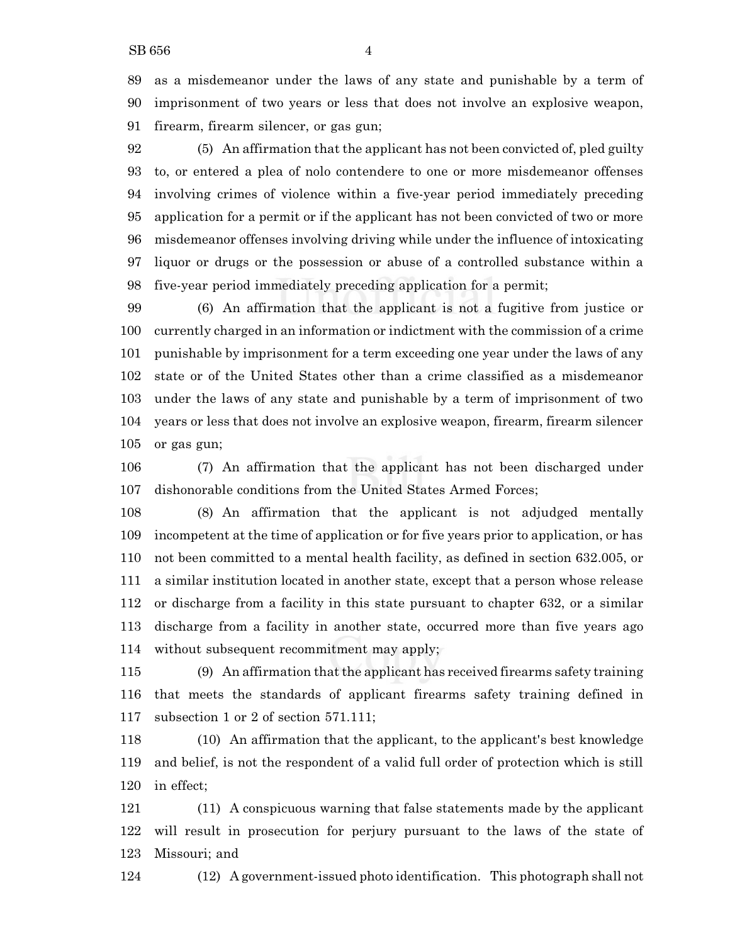as a misdemeanor under the laws of any state and punishable by a term of imprisonment of two years or less that does not involve an explosive weapon, firearm, firearm silencer, or gas gun;

 (5) An affirmation that the applicant has not been convicted of, pled guilty to, or entered a plea of nolo contendere to one or more misdemeanor offenses involving crimes of violence within a five-year period immediately preceding application for a permit or if the applicant has not been convicted of two or more misdemeanor offenses involving driving while under the influence of intoxicating liquor or drugs or the possession or abuse of a controlled substance within a five-year period immediately preceding application for a permit;

 (6) An affirmation that the applicant is not a fugitive from justice or currently charged in an information or indictment with the commission of a crime punishable by imprisonment for a term exceeding one year under the laws of any state or of the United States other than a crime classified as a misdemeanor under the laws of any state and punishable by a term of imprisonment of two years or less that does not involve an explosive weapon, firearm, firearm silencer or gas gun;

 (7) An affirmation that the applicant has not been discharged under dishonorable conditions from the United States Armed Forces;

 (8) An affirmation that the applicant is not adjudged mentally incompetent at the time of application or for five years prior to application, or has not been committed to a mental health facility, as defined in section 632.005, or a similar institution located in another state, except that a person whose release or discharge from a facility in this state pursuant to chapter 632, or a similar discharge from a facility in another state, occurred more than five years ago without subsequent recommitment may apply;

 (9) An affirmation that the applicant has received firearms safety training that meets the standards of applicant firearms safety training defined in subsection 1 or 2 of section 571.111;

 (10) An affirmation that the applicant, to the applicant's best knowledge and belief, is not the respondent of a valid full order of protection which is still in effect;

 (11) A conspicuous warning that false statements made by the applicant will result in prosecution for perjury pursuant to the laws of the state of Missouri; and

(12) A government-issued photo identification. This photograph shall not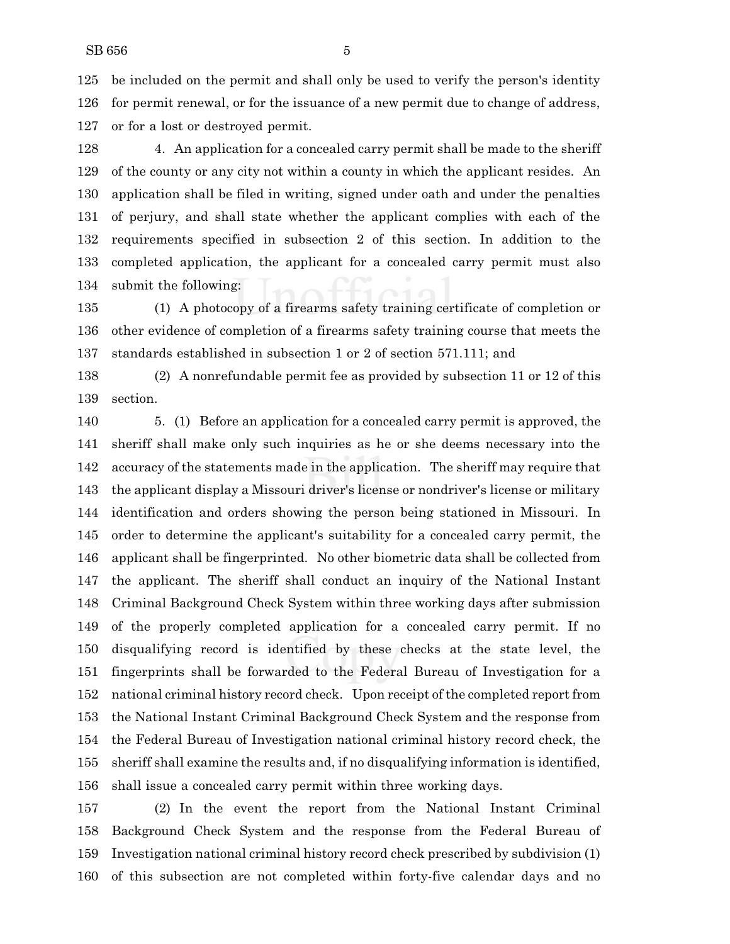be included on the permit and shall only be used to verify the person's identity for permit renewal, or for the issuance of a new permit due to change of address, or for a lost or destroyed permit.

 4. An application for a concealed carry permit shall be made to the sheriff of the county or any city not within a county in which the applicant resides. An application shall be filed in writing, signed under oath and under the penalties of perjury, and shall state whether the applicant complies with each of the requirements specified in subsection 2 of this section. In addition to the completed application, the applicant for a concealed carry permit must also submit the following:

 (1) A photocopy of a firearms safety training certificate of completion or other evidence of completion of a firearms safety training course that meets the standards established in subsection 1 or 2 of section 571.111; and

 (2) A nonrefundable permit fee as provided by subsection 11 or 12 of this section.

 5. (1) Before an application for a concealed carry permit is approved, the sheriff shall make only such inquiries as he or she deems necessary into the accuracy of the statements made in the application. The sheriff may require that the applicant display a Missouri driver's license or nondriver's license or military identification and orders showing the person being stationed in Missouri. In order to determine the applicant's suitability for a concealed carry permit, the applicant shall be fingerprinted. No other biometric data shall be collected from the applicant. The sheriff shall conduct an inquiry of the National Instant Criminal Background Check System within three working days after submission of the properly completed application for a concealed carry permit. If no disqualifying record is identified by these checks at the state level, the fingerprints shall be forwarded to the Federal Bureau of Investigation for a national criminal history record check. Upon receipt of the completed report from the National Instant Criminal Background Check System and the response from the Federal Bureau of Investigation national criminal history record check, the sheriff shall examine the results and, if no disqualifying information is identified, shall issue a concealed carry permit within three working days.

 (2) In the event the report from the National Instant Criminal Background Check System and the response from the Federal Bureau of Investigation national criminal history record check prescribed by subdivision (1) of this subsection are not completed within forty-five calendar days and no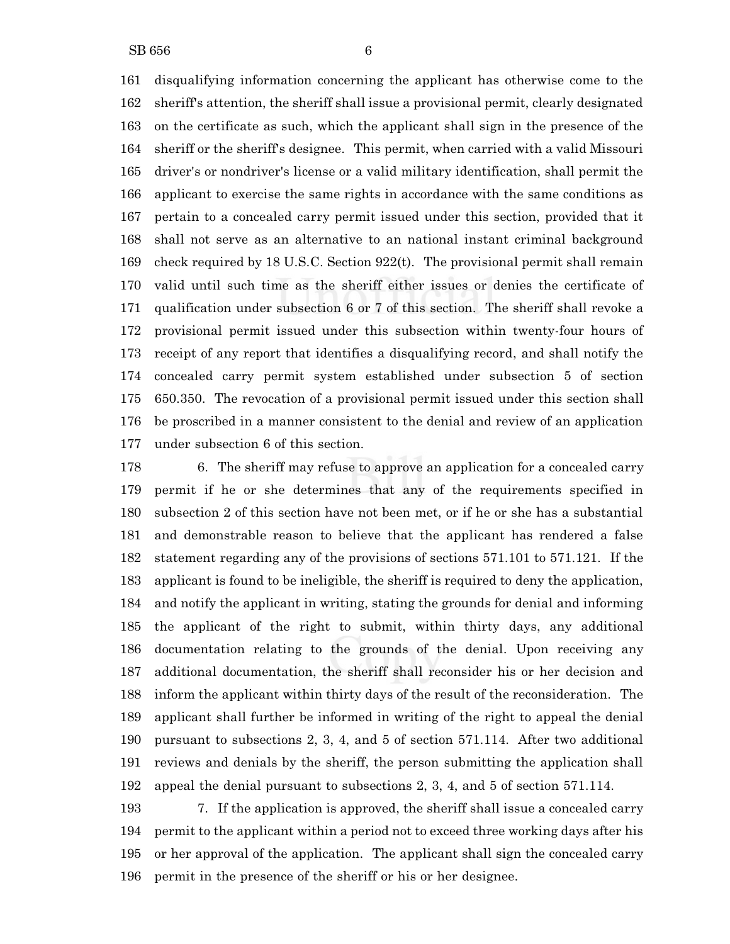disqualifying information concerning the applicant has otherwise come to the sheriff's attention, the sheriff shall issue a provisional permit, clearly designated on the certificate as such, which the applicant shall sign in the presence of the sheriff or the sheriff's designee. This permit, when carried with a valid Missouri driver's or nondriver's license or a valid military identification, shall permit the applicant to exercise the same rights in accordance with the same conditions as pertain to a concealed carry permit issued under this section, provided that it shall not serve as an alternative to an national instant criminal background check required by 18 U.S.C. Section 922(t). The provisional permit shall remain valid until such time as the sheriff either issues or denies the certificate of qualification under subsection 6 or 7 of this section. The sheriff shall revoke a provisional permit issued under this subsection within twenty-four hours of receipt of any report that identifies a disqualifying record, and shall notify the concealed carry permit system established under subsection 5 of section 650.350. The revocation of a provisional permit issued under this section shall be proscribed in a manner consistent to the denial and review of an application under subsection 6 of this section.

 6. The sheriff may refuse to approve an application for a concealed carry permit if he or she determines that any of the requirements specified in subsection 2 of this section have not been met, or if he or she has a substantial and demonstrable reason to believe that the applicant has rendered a false statement regarding any of the provisions of sections 571.101 to 571.121. If the applicant is found to be ineligible, the sheriff is required to deny the application, and notify the applicant in writing, stating the grounds for denial and informing the applicant of the right to submit, within thirty days, any additional documentation relating to the grounds of the denial. Upon receiving any additional documentation, the sheriff shall reconsider his or her decision and inform the applicant within thirty days of the result of the reconsideration. The applicant shall further be informed in writing of the right to appeal the denial pursuant to subsections 2, 3, 4, and 5 of section 571.114. After two additional reviews and denials by the sheriff, the person submitting the application shall appeal the denial pursuant to subsections 2, 3, 4, and 5 of section 571.114.

 7. If the application is approved, the sheriff shall issue a concealed carry permit to the applicant within a period not to exceed three working days after his or her approval of the application. The applicant shall sign the concealed carry permit in the presence of the sheriff or his or her designee.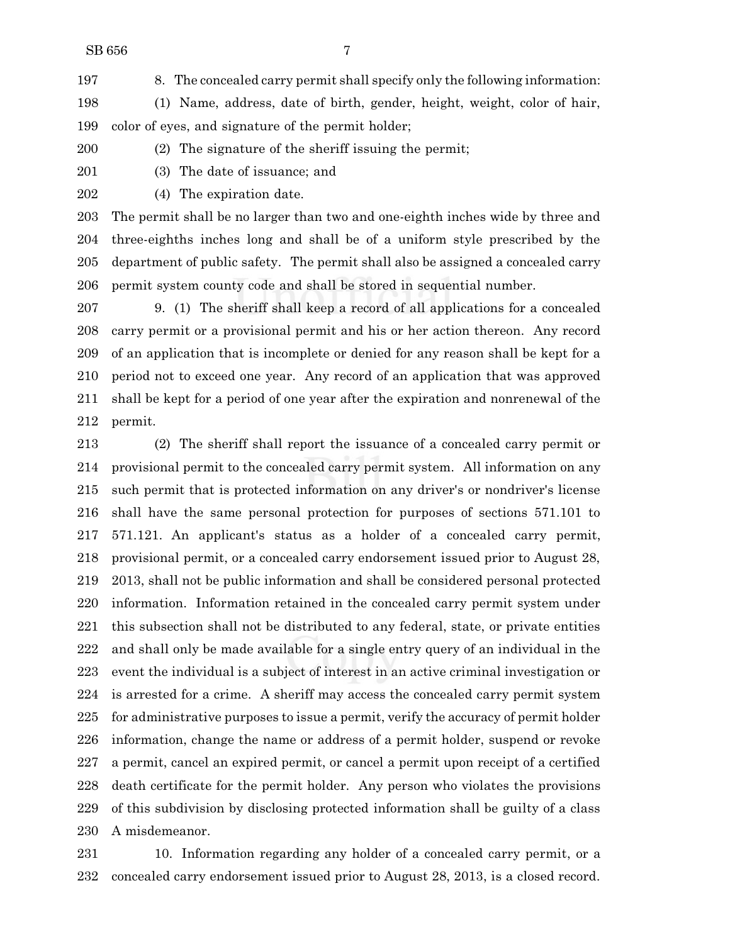8. The concealed carry permit shall specify only the following information:

- (1) Name, address, date of birth, gender, height, weight, color of hair, color of eyes, and signature of the permit holder;
- (2) The signature of the sheriff issuing the permit;
- 

(3) The date of issuance; and

(4) The expiration date.

 The permit shall be no larger than two and one-eighth inches wide by three and three-eighths inches long and shall be of a uniform style prescribed by the department of public safety. The permit shall also be assigned a concealed carry permit system county code and shall be stored in sequential number.

 9. (1) The sheriff shall keep a record of all applications for a concealed carry permit or a provisional permit and his or her action thereon. Any record of an application that is incomplete or denied for any reason shall be kept for a period not to exceed one year. Any record of an application that was approved shall be kept for a period of one year after the expiration and nonrenewal of the permit.

 (2) The sheriff shall report the issuance of a concealed carry permit or provisional permit to the concealed carry permit system. All information on any such permit that is protected information on any driver's or nondriver's license shall have the same personal protection for purposes of sections 571.101 to 571.121. An applicant's status as a holder of a concealed carry permit, provisional permit, or a concealed carry endorsement issued prior to August 28, 2013, shall not be public information and shall be considered personal protected information. Information retained in the concealed carry permit system under this subsection shall not be distributed to any federal, state, or private entities and shall only be made available for a single entry query of an individual in the event the individual is a subject of interest in an active criminal investigation or is arrested for a crime. A sheriff may access the concealed carry permit system for administrative purposes to issue a permit, verify the accuracy of permit holder information, change the name or address of a permit holder, suspend or revoke a permit, cancel an expired permit, or cancel a permit upon receipt of a certified death certificate for the permit holder. Any person who violates the provisions of this subdivision by disclosing protected information shall be guilty of a class A misdemeanor.

 10. Information regarding any holder of a concealed carry permit, or a concealed carry endorsement issued prior to August 28, 2013, is a closed record.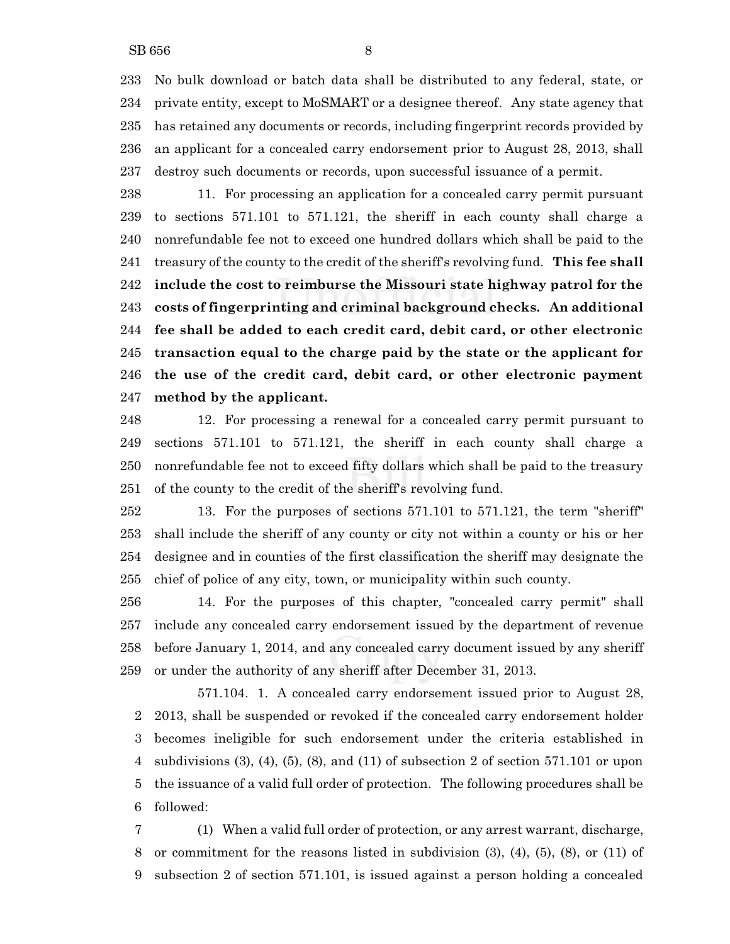No bulk download or batch data shall be distributed to any federal, state, or private entity, except to MoSMART or a designee thereof. Any state agency that has retained any documents or records, including fingerprint records provided by an applicant for a concealed carry endorsement prior to August 28, 2013, shall destroy such documents or records, upon successful issuance of a permit.

 11. For processing an application for a concealed carry permit pursuant to sections 571.101 to 571.121, the sheriff in each county shall charge a nonrefundable fee not to exceed one hundred dollars which shall be paid to the treasury of the county to the credit of the sheriff's revolving fund. **This fee shall include the cost to reimburse the Missouri state highway patrol for the costs of fingerprinting and criminal background checks. An additional fee shall be added to each credit card, debit card, or other electronic transaction equal to the charge paid by the state or the applicant for the use of the credit card, debit card, or other electronic payment method by the applicant.**

 12. For processing a renewal for a concealed carry permit pursuant to sections 571.101 to 571.121, the sheriff in each county shall charge a nonrefundable fee not to exceed fifty dollars which shall be paid to the treasury of the county to the credit of the sheriff's revolving fund.

 13. For the purposes of sections 571.101 to 571.121, the term "sheriff" shall include the sheriff of any county or city not within a county or his or her designee and in counties of the first classification the sheriff may designate the chief of police of any city, town, or municipality within such county.

 14. For the purposes of this chapter, "concealed carry permit" shall include any concealed carry endorsement issued by the department of revenue before January 1, 2014, and any concealed carry document issued by any sheriff or under the authority of any sheriff after December 31, 2013.

571.104. 1. A concealed carry endorsement issued prior to August 28, 2013, shall be suspended or revoked if the concealed carry endorsement holder becomes ineligible for such endorsement under the criteria established in subdivisions (3), (4), (5), (8), and (11) of subsection 2 of section 571.101 or upon the issuance of a valid full order of protection. The following procedures shall be followed:

 (1) When a valid full order of protection, or any arrest warrant, discharge, or commitment for the reasons listed in subdivision (3), (4), (5), (8), or (11) of subsection 2 of section 571.101, is issued against a person holding a concealed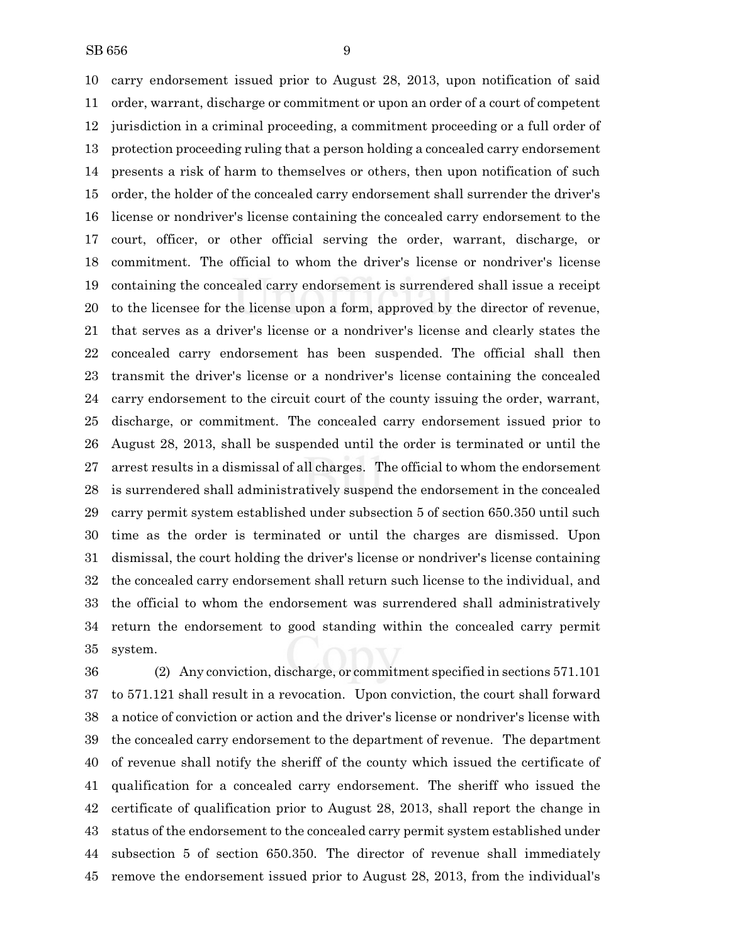carry endorsement issued prior to August 28, 2013, upon notification of said order, warrant, discharge or commitment or upon an order of a court of competent jurisdiction in a criminal proceeding, a commitment proceeding or a full order of protection proceeding ruling that a person holding a concealed carry endorsement presents a risk of harm to themselves or others, then upon notification of such order, the holder of the concealed carry endorsement shall surrender the driver's license or nondriver's license containing the concealed carry endorsement to the court, officer, or other official serving the order, warrant, discharge, or commitment. The official to whom the driver's license or nondriver's license containing the concealed carry endorsement is surrendered shall issue a receipt to the licensee for the license upon a form, approved by the director of revenue, that serves as a driver's license or a nondriver's license and clearly states the concealed carry endorsement has been suspended. The official shall then transmit the driver's license or a nondriver's license containing the concealed carry endorsement to the circuit court of the county issuing the order, warrant, discharge, or commitment. The concealed carry endorsement issued prior to August 28, 2013, shall be suspended until the order is terminated or until the arrest results in a dismissal of all charges. The official to whom the endorsement is surrendered shall administratively suspend the endorsement in the concealed carry permit system established under subsection 5 of section 650.350 until such time as the order is terminated or until the charges are dismissed. Upon dismissal, the court holding the driver's license or nondriver's license containing the concealed carry endorsement shall return such license to the individual, and the official to whom the endorsement was surrendered shall administratively return the endorsement to good standing within the concealed carry permit system.

 (2) Any conviction, discharge, or commitment specified in sections 571.101 to 571.121 shall result in a revocation. Upon conviction, the court shall forward a notice of conviction or action and the driver's license or nondriver's license with the concealed carry endorsement to the department of revenue. The department of revenue shall notify the sheriff of the county which issued the certificate of qualification for a concealed carry endorsement. The sheriff who issued the certificate of qualification prior to August 28, 2013, shall report the change in status of the endorsement to the concealed carry permit system established under subsection 5 of section 650.350. The director of revenue shall immediately remove the endorsement issued prior to August 28, 2013, from the individual's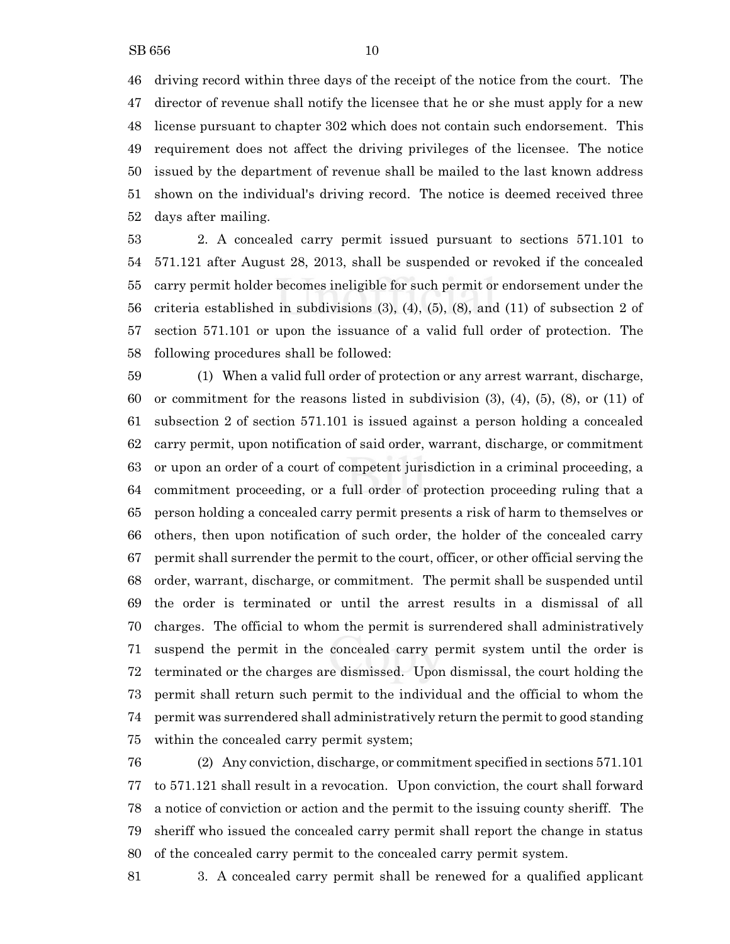driving record within three days of the receipt of the notice from the court. The director of revenue shall notify the licensee that he or she must apply for a new license pursuant to chapter 302 which does not contain such endorsement. This requirement does not affect the driving privileges of the licensee. The notice issued by the department of revenue shall be mailed to the last known address shown on the individual's driving record. The notice is deemed received three days after mailing.

 2. A concealed carry permit issued pursuant to sections 571.101 to 571.121 after August 28, 2013, shall be suspended or revoked if the concealed carry permit holder becomes ineligible for such permit or endorsement under the criteria established in subdivisions (3), (4), (5), (8), and (11) of subsection 2 of section 571.101 or upon the issuance of a valid full order of protection. The following procedures shall be followed:

 (1) When a valid full order of protection or any arrest warrant, discharge, or commitment for the reasons listed in subdivision (3), (4), (5), (8), or (11) of subsection 2 of section 571.101 is issued against a person holding a concealed carry permit, upon notification of said order, warrant, discharge, or commitment or upon an order of a court of competent jurisdiction in a criminal proceeding, a commitment proceeding, or a full order of protection proceeding ruling that a person holding a concealed carry permit presents a risk of harm to themselves or others, then upon notification of such order, the holder of the concealed carry permit shall surrender the permit to the court, officer, or other official serving the order, warrant, discharge, or commitment. The permit shall be suspended until the order is terminated or until the arrest results in a dismissal of all charges. The official to whom the permit is surrendered shall administratively suspend the permit in the concealed carry permit system until the order is terminated or the charges are dismissed. Upon dismissal, the court holding the permit shall return such permit to the individual and the official to whom the permit was surrendered shall administratively return the permit to good standing within the concealed carry permit system;

 (2) Any conviction, discharge, or commitment specified in sections 571.101 to 571.121 shall result in a revocation. Upon conviction, the court shall forward a notice of conviction or action and the permit to the issuing county sheriff. The sheriff who issued the concealed carry permit shall report the change in status of the concealed carry permit to the concealed carry permit system.

3. A concealed carry permit shall be renewed for a qualified applicant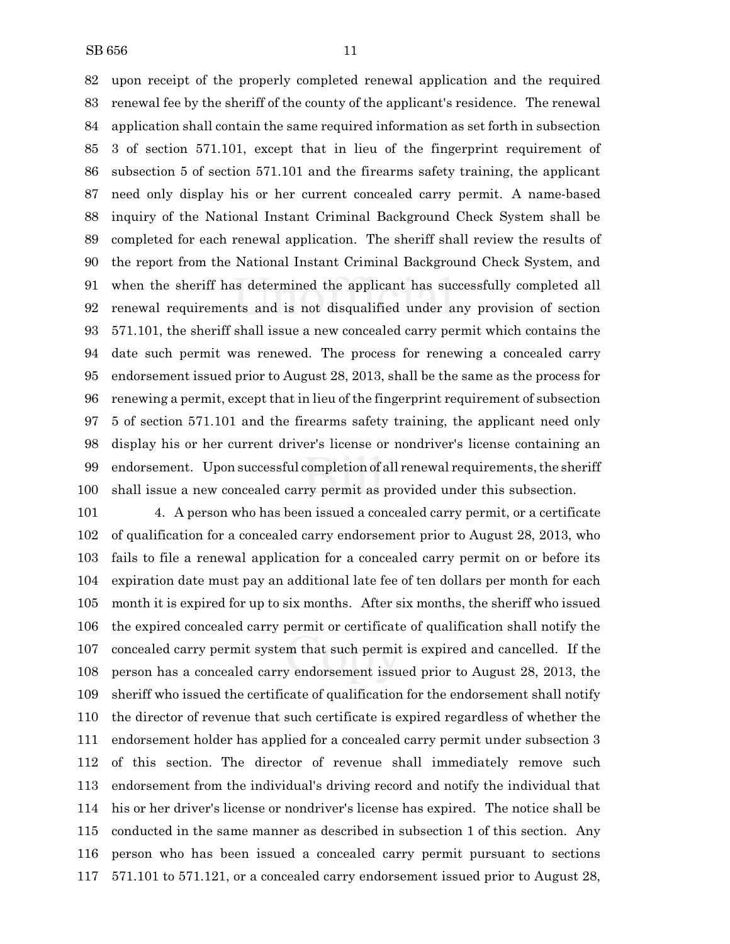upon receipt of the properly completed renewal application and the required renewal fee by the sheriff of the county of the applicant's residence. The renewal application shall contain the same required information as set forth in subsection 3 of section 571.101, except that in lieu of the fingerprint requirement of subsection 5 of section 571.101 and the firearms safety training, the applicant need only display his or her current concealed carry permit. A name-based inquiry of the National Instant Criminal Background Check System shall be completed for each renewal application. The sheriff shall review the results of the report from the National Instant Criminal Background Check System, and when the sheriff has determined the applicant has successfully completed all renewal requirements and is not disqualified under any provision of section 571.101, the sheriff shall issue a new concealed carry permit which contains the date such permit was renewed. The process for renewing a concealed carry endorsement issued prior to August 28, 2013, shall be the same as the process for renewing a permit, except that in lieu of the fingerprint requirement of subsection 5 of section 571.101 and the firearms safety training, the applicant need only display his or her current driver's license or nondriver's license containing an 99 endorsement. Upon successful completion of all renewal requirements, the sheriff shall issue a new concealed carry permit as provided under this subsection.

 4. A person who has been issued a concealed carry permit, or a certificate of qualification for a concealed carry endorsement prior to August 28, 2013, who fails to file a renewal application for a concealed carry permit on or before its expiration date must pay an additional late fee of ten dollars per month for each month it is expired for up to six months. After six months, the sheriff who issued the expired concealed carry permit or certificate of qualification shall notify the concealed carry permit system that such permit is expired and cancelled. If the person has a concealed carry endorsement issued prior to August 28, 2013, the sheriff who issued the certificate of qualification for the endorsement shall notify the director of revenue that such certificate is expired regardless of whether the endorsement holder has applied for a concealed carry permit under subsection 3 of this section. The director of revenue shall immediately remove such endorsement from the individual's driving record and notify the individual that his or her driver's license or nondriver's license has expired. The notice shall be conducted in the same manner as described in subsection 1 of this section. Any person who has been issued a concealed carry permit pursuant to sections 571.101 to 571.121, or a concealed carry endorsement issued prior to August 28,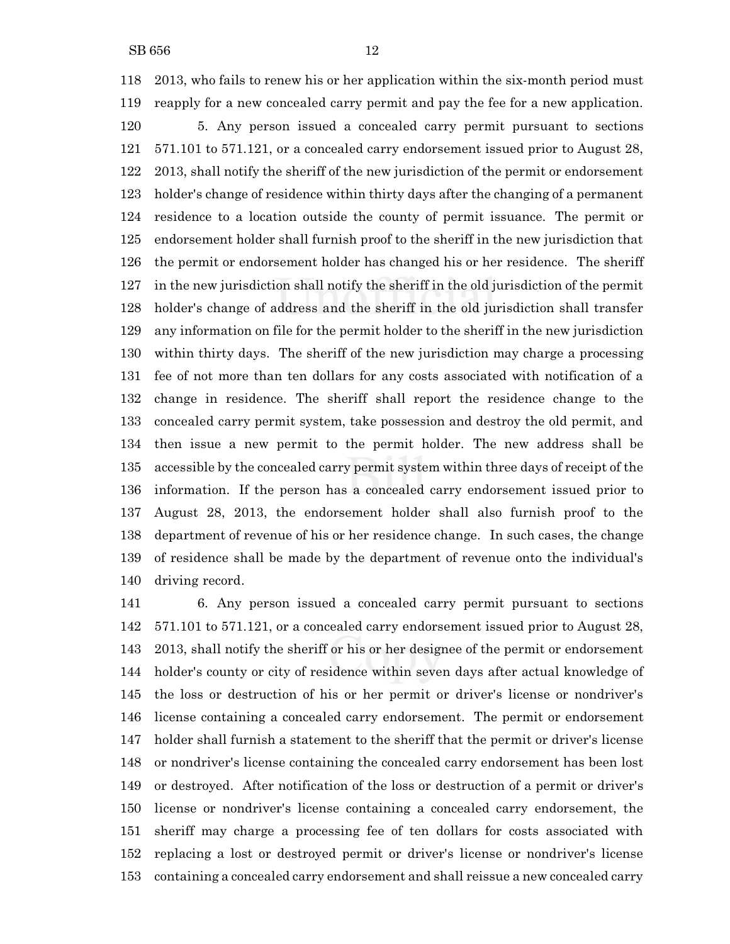2013, who fails to renew his or her application within the six-month period must reapply for a new concealed carry permit and pay the fee for a new application. 5. Any person issued a concealed carry permit pursuant to sections 571.101 to 571.121, or a concealed carry endorsement issued prior to August 28, 2013, shall notify the sheriff of the new jurisdiction of the permit or endorsement holder's change of residence within thirty days after the changing of a permanent residence to a location outside the county of permit issuance. The permit or endorsement holder shall furnish proof to the sheriff in the new jurisdiction that the permit or endorsement holder has changed his or her residence. The sheriff in the new jurisdiction shall notify the sheriff in the old jurisdiction of the permit holder's change of address and the sheriff in the old jurisdiction shall transfer any information on file for the permit holder to the sheriff in the new jurisdiction within thirty days. The sheriff of the new jurisdiction may charge a processing fee of not more than ten dollars for any costs associated with notification of a change in residence. The sheriff shall report the residence change to the concealed carry permit system, take possession and destroy the old permit, and then issue a new permit to the permit holder. The new address shall be accessible by the concealed carry permit system within three days of receipt of the information. If the person has a concealed carry endorsement issued prior to August 28, 2013, the endorsement holder shall also furnish proof to the department of revenue of his or her residence change. In such cases, the change of residence shall be made by the department of revenue onto the individual's driving record.

 6. Any person issued a concealed carry permit pursuant to sections 571.101 to 571.121, or a concealed carry endorsement issued prior to August 28, 2013, shall notify the sheriff or his or her designee of the permit or endorsement holder's county or city of residence within seven days after actual knowledge of the loss or destruction of his or her permit or driver's license or nondriver's license containing a concealed carry endorsement. The permit or endorsement holder shall furnish a statement to the sheriff that the permit or driver's license or nondriver's license containing the concealed carry endorsement has been lost or destroyed. After notification of the loss or destruction of a permit or driver's license or nondriver's license containing a concealed carry endorsement, the sheriff may charge a processing fee of ten dollars for costs associated with replacing a lost or destroyed permit or driver's license or nondriver's license containing a concealed carry endorsement and shall reissue a new concealed carry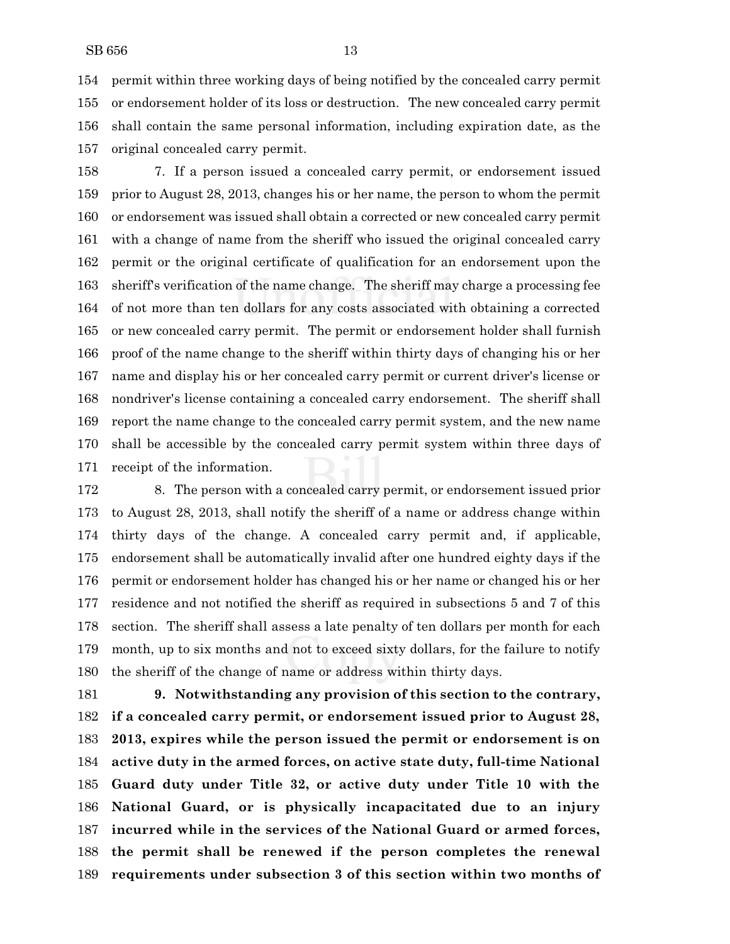permit within three working days of being notified by the concealed carry permit or endorsement holder of its loss or destruction. The new concealed carry permit shall contain the same personal information, including expiration date, as the original concealed carry permit.

 7. If a person issued a concealed carry permit, or endorsement issued prior to August 28, 2013, changes his or her name, the person to whom the permit or endorsement was issued shall obtain a corrected or new concealed carry permit with a change of name from the sheriff who issued the original concealed carry permit or the original certificate of qualification for an endorsement upon the sheriff's verification of the name change. The sheriff may charge a processing fee of not more than ten dollars for any costs associated with obtaining a corrected or new concealed carry permit. The permit or endorsement holder shall furnish proof of the name change to the sheriff within thirty days of changing his or her name and display his or her concealed carry permit or current driver's license or nondriver's license containing a concealed carry endorsement. The sheriff shall report the name change to the concealed carry permit system, and the new name shall be accessible by the concealed carry permit system within three days of receipt of the information.

 8. The person with a concealed carry permit, or endorsement issued prior to August 28, 2013, shall notify the sheriff of a name or address change within thirty days of the change. A concealed carry permit and, if applicable, endorsement shall be automatically invalid after one hundred eighty days if the permit or endorsement holder has changed his or her name or changed his or her residence and not notified the sheriff as required in subsections 5 and 7 of this section. The sheriff shall assess a late penalty of ten dollars per month for each month, up to six months and not to exceed sixty dollars, for the failure to notify the sheriff of the change of name or address within thirty days.

 **9. Notwithstanding any provision of this section to the contrary, if a concealed carry permit, or endorsement issued prior to August 28, 2013, expires while the person issued the permit or endorsement is on active duty in the armed forces, on active state duty, full-time National Guard duty under Title 32, or active duty under Title 10 with the National Guard, or is physically incapacitated due to an injury incurred while in the services of the National Guard or armed forces, the permit shall be renewed if the person completes the renewal requirements under subsection 3 of this section within two months of**